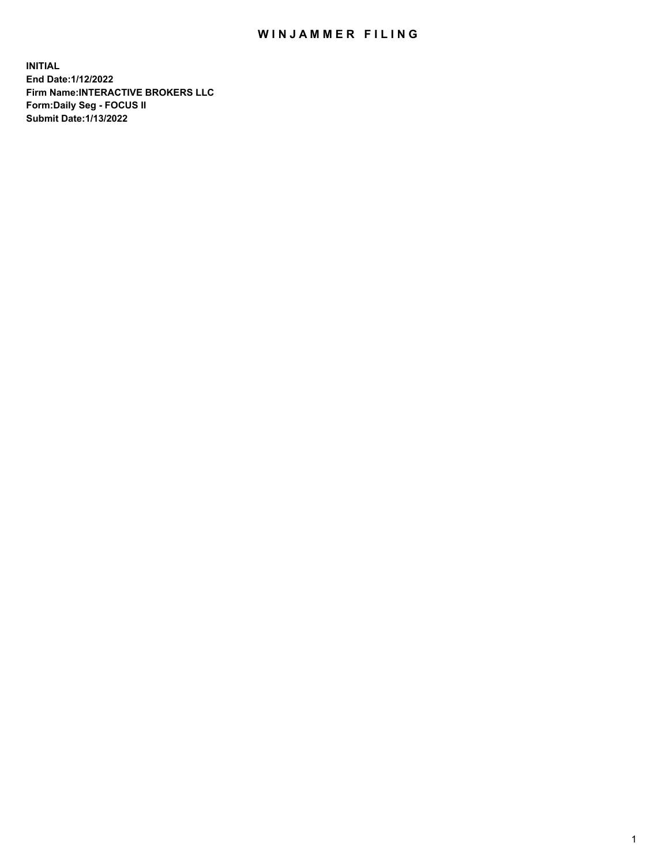## WIN JAMMER FILING

**INITIAL End Date:1/12/2022 Firm Name:INTERACTIVE BROKERS LLC Form:Daily Seg - FOCUS II Submit Date:1/13/2022**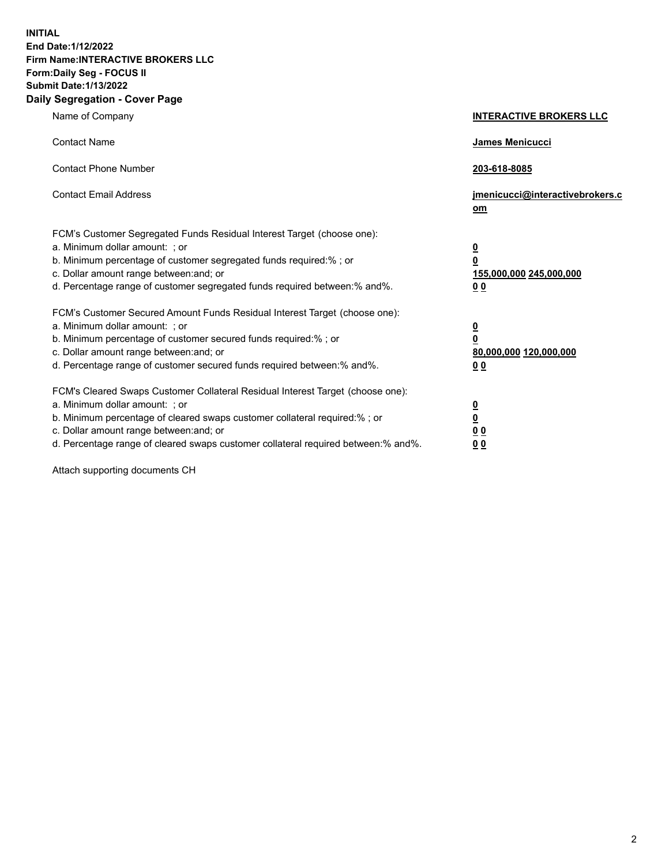**INITIAL End Date:1/12/2022 Firm Name:INTERACTIVE BROKERS LLC Form:Daily Seg - FOCUS II Submit Date:1/13/2022 Daily Segregation - Cover Page**

| Name of Company                                                                                                                                                                                                                                                                                                               | <b>INTERACTIVE BROKERS LLC</b>                                                                  |  |
|-------------------------------------------------------------------------------------------------------------------------------------------------------------------------------------------------------------------------------------------------------------------------------------------------------------------------------|-------------------------------------------------------------------------------------------------|--|
| <b>Contact Name</b>                                                                                                                                                                                                                                                                                                           | James Menicucci                                                                                 |  |
| <b>Contact Phone Number</b>                                                                                                                                                                                                                                                                                                   | 203-618-8085                                                                                    |  |
| <b>Contact Email Address</b>                                                                                                                                                                                                                                                                                                  | jmenicucci@interactivebrokers.c<br><u>om</u>                                                    |  |
| FCM's Customer Segregated Funds Residual Interest Target (choose one):<br>a. Minimum dollar amount: ; or<br>b. Minimum percentage of customer segregated funds required:% ; or<br>c. Dollar amount range between: and; or<br>d. Percentage range of customer segregated funds required between:% and%.                        | $\overline{\mathbf{0}}$<br>$\overline{\mathbf{0}}$<br>155,000,000 245,000,000<br>0 <sub>0</sub> |  |
| FCM's Customer Secured Amount Funds Residual Interest Target (choose one):<br>a. Minimum dollar amount: ; or<br>b. Minimum percentage of customer secured funds required:%; or<br>c. Dollar amount range between: and; or<br>d. Percentage range of customer secured funds required between:% and%.                           | $\overline{\mathbf{0}}$<br>$\overline{\mathbf{0}}$<br>80,000,000 120,000,000<br>0 <sub>0</sub>  |  |
| FCM's Cleared Swaps Customer Collateral Residual Interest Target (choose one):<br>a. Minimum dollar amount: ; or<br>b. Minimum percentage of cleared swaps customer collateral required:%; or<br>c. Dollar amount range between: and; or<br>d. Percentage range of cleared swaps customer collateral required between:% and%. | $\overline{\mathbf{0}}$<br>$\overline{\mathbf{0}}$<br>0 <sub>0</sub><br>0 <sub>0</sub>          |  |

Attach supporting documents CH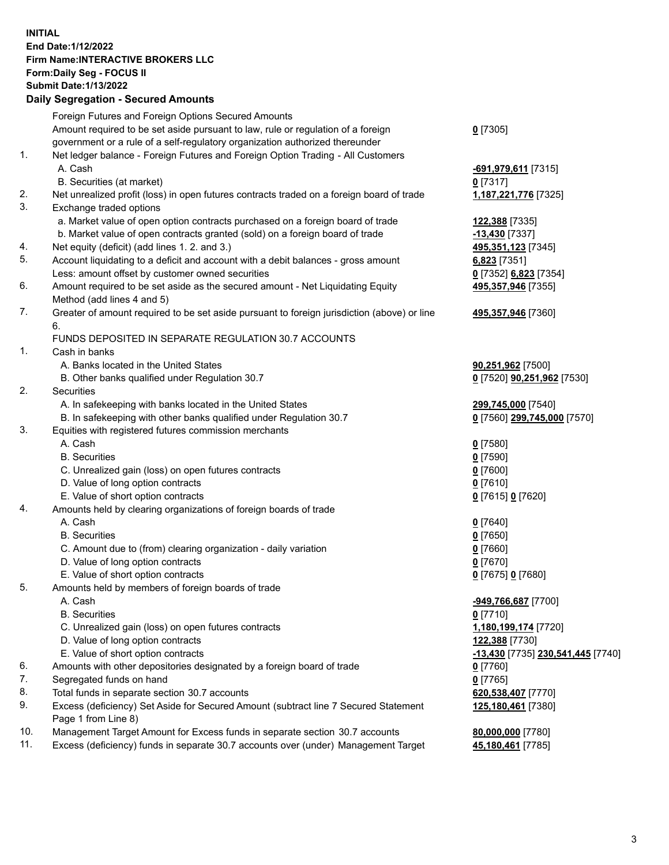**INITIAL End Date:1/12/2022 Firm Name:INTERACTIVE BROKERS LLC Form:Daily Seg - FOCUS II Submit Date:1/13/2022 Daily Segregation - Secured Amounts**

## Foreign Futures and Foreign Options Secured Amounts Amount required to be set aside pursuant to law, rule or regulation of a foreign government or a rule of a self-regulatory organization authorized thereunder **0** [7305] 1. Net ledger balance - Foreign Futures and Foreign Option Trading - All Customers A. Cash **-691,979,611** [7315] B. Securities (at market) **0** [7317] 2. Net unrealized profit (loss) in open futures contracts traded on a foreign board of trade **1,187,221,776** [7325] 3. Exchange traded options a. Market value of open option contracts purchased on a foreign board of trade **122,388** [7335] b. Market value of open contracts granted (sold) on a foreign board of trade **-13,430** [7337] 4. Net equity (deficit) (add lines 1. 2. and 3.) **495,351,123** [7345] 5. Account liquidating to a deficit and account with a debit balances - gross amount **6,823** [7351] Less: amount offset by customer owned securities **0** [7352] **6,823** [7354] 6. Amount required to be set aside as the secured amount - Net Liquidating Equity Method (add lines 4 and 5) **495,357,946** [7355] 7. Greater of amount required to be set aside pursuant to foreign jurisdiction (above) or line 6. **495,357,946** [7360] FUNDS DEPOSITED IN SEPARATE REGULATION 30.7 ACCOUNTS 1. Cash in banks A. Banks located in the United States **90,251,962** [7500] B. Other banks qualified under Regulation 30.7 **0** [7520] **90,251,962** [7530] 2. Securities A. In safekeeping with banks located in the United States **299,745,000** [7540] B. In safekeeping with other banks qualified under Regulation 30.7 **0** [7560] **299,745,000** [7570] 3. Equities with registered futures commission merchants A. Cash **0** [7580] B. Securities **0** [7590] C. Unrealized gain (loss) on open futures contracts **0** [7600] D. Value of long option contracts **0** [7610] E. Value of short option contracts **0** [7615] **0** [7620] 4. Amounts held by clearing organizations of foreign boards of trade A. Cash **0** [7640] B. Securities **0** [7650] C. Amount due to (from) clearing organization - daily variation **0** [7660] D. Value of long option contracts **0** [7670] E. Value of short option contracts **0** [7675] **0** [7680] 5. Amounts held by members of foreign boards of trade A. Cash **-949,766,687** [7700] B. Securities **0** [7710] C. Unrealized gain (loss) on open futures contracts **1,180,199,174** [7720] D. Value of long option contracts **122,388** [7730] E. Value of short option contracts **-13,430** [7735] **230,541,445** [7740] 6. Amounts with other depositories designated by a foreign board of trade **0** [7760] 7. Segregated funds on hand **0** [7765] 8. Total funds in separate section 30.7 accounts **620,538,407** [7770] 9. Excess (deficiency) Set Aside for Secured Amount (subtract line 7 Secured Statement Page 1 from Line 8) **125,180,461** [7380] 10. Management Target Amount for Excess funds in separate section 30.7 accounts **80,000,000** [7780] 11. Excess (deficiency) funds in separate 30.7 accounts over (under) Management Target **45,180,461** [7785]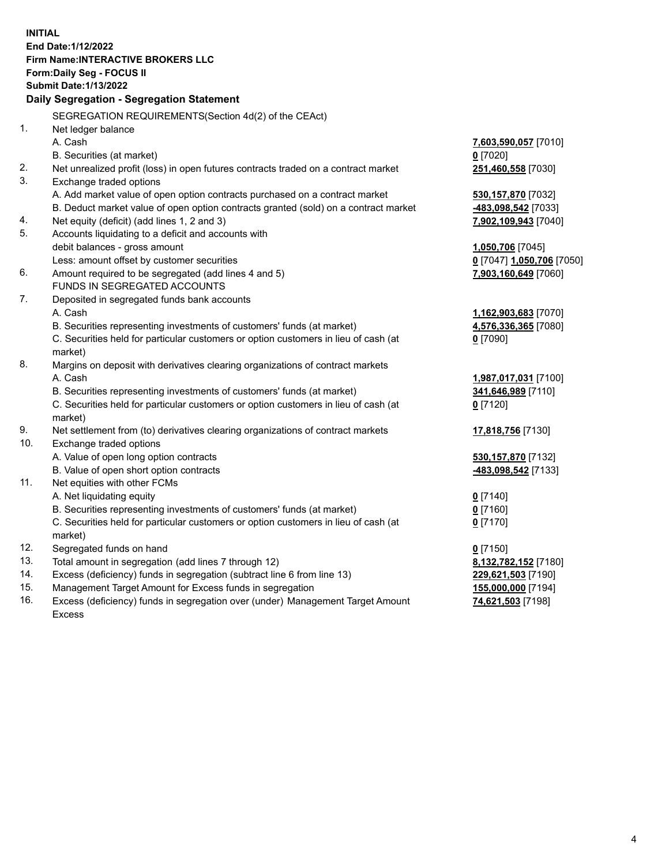**INITIAL End Date:1/12/2022 Firm Name:INTERACTIVE BROKERS LLC Form:Daily Seg - FOCUS II Submit Date:1/13/2022 Daily Segregation - Segregation Statement** SEGREGATION REQUIREMENTS(Section 4d(2) of the CEAct) 1. Net ledger balance A. Cash **7,603,590,057** [7010] B. Securities (at market) **0** [7020] 2. Net unrealized profit (loss) in open futures contracts traded on a contract market **251,460,558** [7030] 3. Exchange traded options A. Add market value of open option contracts purchased on a contract market **530,157,870** [7032] B. Deduct market value of open option contracts granted (sold) on a contract market **-483,098,542** [7033] 4. Net equity (deficit) (add lines 1, 2 and 3) **7,902,109,943** [7040] 5. Accounts liquidating to a deficit and accounts with debit balances - gross amount **1,050,706** [7045] Less: amount offset by customer securities **0** [7047] **1,050,706** [7050] 6. Amount required to be segregated (add lines 4 and 5) **7,903,160,649** [7060] FUNDS IN SEGREGATED ACCOUNTS 7. Deposited in segregated funds bank accounts A. Cash **1,162,903,683** [7070] B. Securities representing investments of customers' funds (at market) **4,576,336,365** [7080] C. Securities held for particular customers or option customers in lieu of cash (at market) **0** [7090] 8. Margins on deposit with derivatives clearing organizations of contract markets A. Cash **1,987,017,031** [7100] B. Securities representing investments of customers' funds (at market) **341,646,989** [7110] C. Securities held for particular customers or option customers in lieu of cash (at market) **0** [7120] 9. Net settlement from (to) derivatives clearing organizations of contract markets **17,818,756** [7130] 10. Exchange traded options A. Value of open long option contracts **530,157,870** [7132] B. Value of open short option contracts **-483,098,542** [7133] 11. Net equities with other FCMs A. Net liquidating equity **0** [7140] B. Securities representing investments of customers' funds (at market) **0** [7160] C. Securities held for particular customers or option customers in lieu of cash (at market) **0** [7170] 12. Segregated funds on hand **0** [7150] 13. Total amount in segregation (add lines 7 through 12) **8,132,782,152** [7180] 14. Excess (deficiency) funds in segregation (subtract line 6 from line 13) **229,621,503** [7190] 15. Management Target Amount for Excess funds in segregation **155,000,000** [7194] 16. Excess (deficiency) funds in segregation over (under) Management Target Amount **74,621,503** [7198]

Excess